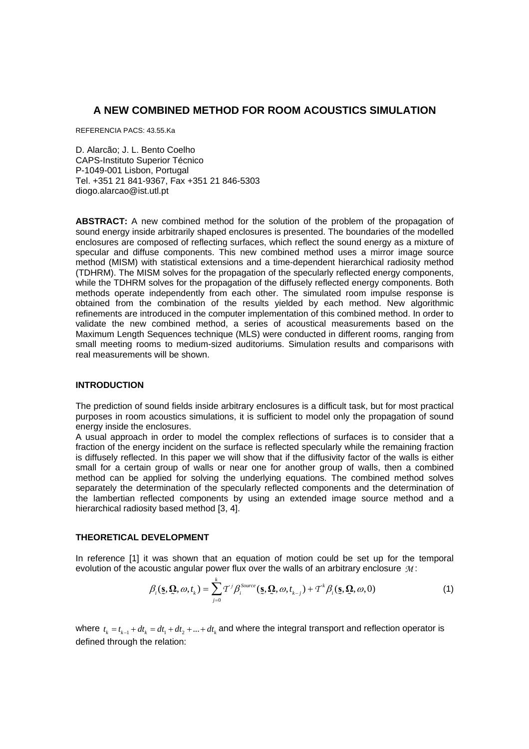# **A NEW COMBINED METHOD FOR ROOM ACOUSTICS SIMULATION**

REFERENCIA PACS: 43.55.Ka

D. Alarcão; J. L. Bento Coelho CAPS-Instituto Superior Técnico P-1049-001 Lisbon, Portugal Tel. +351 21 841-9367, Fax +351 21 846-5303 diogo.alarcao@ist.utl.pt

**ABSTRACT:** A new combined method for the solution of the problem of the propagation of sound energy inside arbitrarily shaped enclosures is presented. The boundaries of the modelled enclosures are composed of reflecting surfaces, which reflect the sound energy as a mixture of specular and diffuse components. This new combined method uses a mirror image source method (MISM) with statistical extensions and a time-dependent hierarchical radiosity method (TDHRM). The MISM solves for the propagation of the specularly reflected energy components, while the TDHRM solves for the propagation of the diffusely reflected energy components. Both methods operate independently from each other. The simulated room impulse response is obtained from the combination of the results yielded by each method. New algorithmic refinements are introduced in the computer implementation of this combined method. In order to validate the new combined method, a series of acoustical measurements based on the Maximum Length Sequences technique (MLS) were conducted in different rooms, ranging from small meeting rooms to medium-sized auditoriums. Simulation results and comparisons with real measurements will be shown.

## **INTRODUCTION**

The prediction of sound fields inside arbitrary enclosures is a difficult task, but for most practical purposes in room acoustics simulations, it is sufficient to model only the propagation of sound energy inside the enclosures.

A usual approach in order to model the complex reflections of surfaces is to consider that a fraction of the energy incident on the surface is reflected specularly while the remaining fraction is diffusely reflected. In this paper we will show that if the diffusivity factor of the walls is either small for a certain group of walls or near one for another group of walls, then a combined method can be applied for solving the underlying equations. The combined method solves separately the determination of the specularly reflected components and the determination of the lambertian reflected components by using an extended image source method and a hierarchical radiosity based method [3, 4].

### **THEORETICAL DEVELOPMENT**

In reference [1] it was shown that an equation of motion could be set up for the temporal evolution of the acoustic angular power flux over the walls of an arbitrary enclosure *M* :

$$
\beta_i(\mathbf{s}, \mathbf{\Omega}, \omega, t_k) = \sum_{j=0}^k T^j \beta_i^{Source}(\mathbf{s}, \mathbf{\Omega}, \omega, t_{k-j}) + T^k \beta_i(\mathbf{s}, \mathbf{\Omega}, \omega, 0)
$$
(1)

where  $t_k = t_{k-1} + dt_k = dt_1 + dt_2 + ... + dt_k$  and where the integral transport and reflection operator is defined through the relation: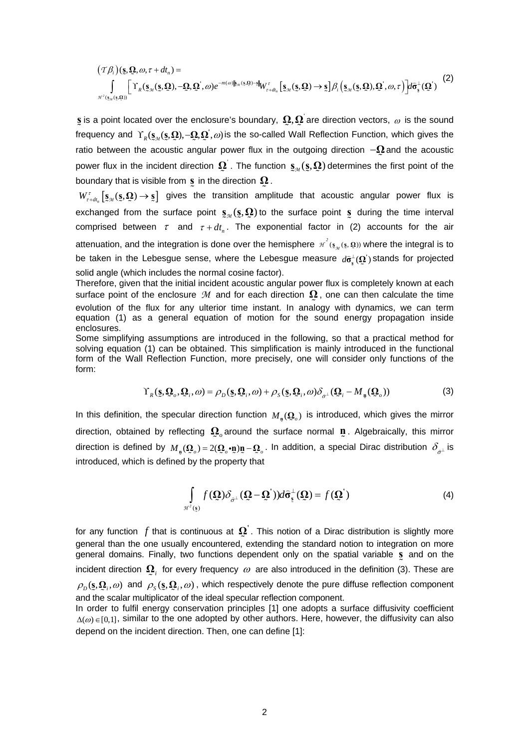$$
(\mathcal{T}\beta_i)(\mathbf{s},\mathbf{\Omega},\omega,\tau+d\mathbf{t}_n) = \int_{\mathcal{H}^2(\mathbf{s}_{\mathcal{M}}(\mathbf{s},\mathbf{\Omega}),\mathbf{\Omega}^{'},\omega)} \left[\Upsilon_R(\mathbf{s}_{\mathcal{M}}(\mathbf{s},\mathbf{\Omega}),-\mathbf{\Omega},\mathbf{\Omega}^{'},\omega)e^{-m(\omega)\|\mathbf{s}_{\mathcal{M}}(\mathbf{s},\mathbf{\Omega})-\mathbf{s}\|}\mathbf{W}^{\tau}_{\tau+d\mathbf{t}_n}\left[\mathbf{s}_{\mathcal{M}}(\mathbf{s},\mathbf{\Omega})\to\mathbf{s}\right]\beta_i\left(\mathbf{s}_{\mathcal{M}}(\mathbf{s},\mathbf{\Omega}),\mathbf{\Omega}^{'},\omega,\tau\right)\right] d\hat{\sigma}^{\perp}_{\mathbf{s}}(\mathbf{\Omega}^{'})
$$
\n(2)

**s** is a point located over the enclosure's boundary,  $\Omega, \Omega$  are direction vectors,  $\omega$  is the sound ≍<br>. frequency and Υ<sub>*R*</sub>( ${\bf s}_{\mathcal{M}}$ ( ${\bf s}_{\mathcal{M}}$ Ω, Ω), -Ω, Ω<sup>'</sup>, ω) is the so-called Wall Reflection Function, which gives the ratio between the acoustic angular power flux in the outgoing direction −**Ω**  $\Omega$  and the acoustic power flux in the incident direction  $\Omega$ . The function  $s_{\scriptscriptstyle M}(\S,\Omega)$  determines the first point of the boundary that is visible from  $\mathbf{s}$  in the direction  $\mathbf{\Omega}$ .

  $W_{\tau+dt_n}^{\tau} [\mathbf{s}_M(\mathbf{s},\mathbf{Q}) \to \mathbf{s}]$  gives the transition amplitude that acoustic angular power flux is exchanged from the surface point  $\mathbf{s}_{\mathcal{M}}(\mathbf{s}, \mathbf{\Omega})$  to the surface point  $\mathbf{s}_{\mathcal{M}}$  during the time interval comprised between  $\tau$  and  $\tau + dt_n$ . The exponential factor in (2) accounts for the air attenuation, and the integration is done over the hemisphere  $\pi^2(\mathbf{s}_\pi(\mathbf{s},\mathbf{Q}))$  where the integral is to be taken in the Lebesgue sense, where the Lebesgue measure  $d\hat{\sigma}_{s}^{\perp}(\Omega)$  stands for projected ž solid angle (which includes the normal cosine factor).

Therefore, given that the initial incident acoustic angular power flux is completely known at each surface point of the enclosure  $\mathcal M$  and for each direction  $\Omega$ , one can then calculate the time evolution of the flux for any ulterior time instant. In analogy with dynamics, we can term equation (1) as a general equation of motion for the sound energy propagation inside enclosures.

Some simplifying assumptions are introduced in the following, so that a practical method for solving equation (1) can be obtained. This simplification is mainly introduced in the functional form of the Wall Reflection Function, more precisely, one will consider only functions of the form:

$$
\Upsilon_R(\mathbf{S}, \mathbf{Q}_o, \mathbf{Q}_i, \omega) = \rho_D(\mathbf{S}, \mathbf{Q}_i, \omega) + \rho_S(\mathbf{S}, \mathbf{Q}_i, \omega) \delta_{\hat{\sigma}^\perp}(\mathbf{Q}_i - M_{\mathbf{u}}(\mathbf{Q}_o))
$$
(3)

In this definition, the specular direction function  $M_{\text{p}}(\Omega_{\rho})$  is introduced, which gives the mirror direction, obtained by reflecting  $\mathbf{Q}_o$  around the surface normal  $\mathbf{n}$ . Algebraically, this mirror direction is defined by  $M_{\mathbf{p}}(\mathbf{Q}_o) = 2(\mathbf{Q}_o \cdot \mathbf{p})\mathbf{p} - \mathbf{Q}_o$ . In addition, a special Dirac distribution  $\delta_{\hat{\sigma}^{\perp}}$  is introduced, which is defined by the property that

$$
\int_{\mathcal{H}^2(\mathbf{S})} f(\mathbf{\Omega}) \delta_{\hat{\sigma}^{\perp}} (\mathbf{\Omega} - \mathbf{\Omega}^{\prime})) d\hat{\sigma}_{\mathbf{S}}^{\perp} (\mathbf{\Omega}) = f(\mathbf{\Omega}^{\prime})
$$
\n(4)

for any function  $f$  that is continuous at  $\Omega$ . This notion of a Dirac distribution is slightly more<br>coneral than the one usually encountered, extending the standard potion to integration on more general than the one usually encountered, extending the standard notion to integration on more general domains. Finally, two functions dependent only on the spatial variable **s** and on the incident direction  $\mathbf{Q}_i$  for every frequency  $\omega$  are also introduced in the definition (3). These are  $\rho_{D}$  (s,  $\Omega_i$ ,  $\omega$ ) and  $\rho_{S}$  (s,  $\Omega_i$ ,  $\omega$ ), which respectively denote the pure diffuse reflection component and the scalar multiplicator of the ideal specular reflection component.

In order to fulfil energy conservation principles [1] one adopts a surface diffusivity coefficient  $\Delta(\omega) \in [0,1]$ , similar to the one adopted by other authors. Here, however, the diffusivity can also depend on the incident direction. Then, one can define [1]: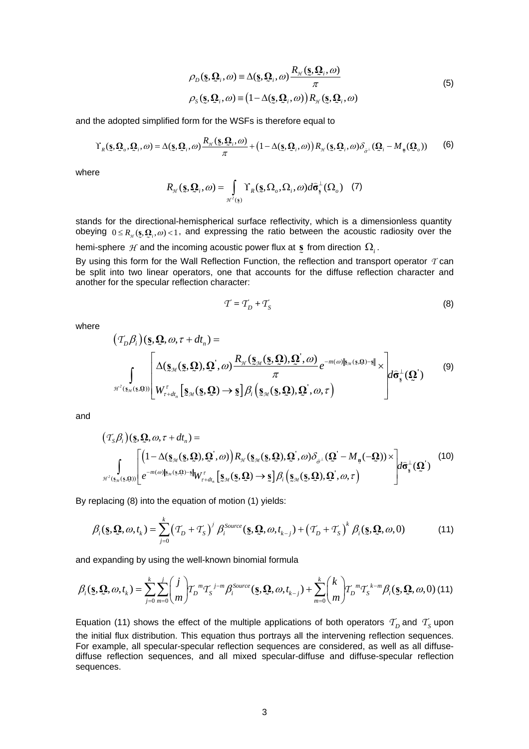$$
\rho_D(\mathbf{S}, \mathbf{\Omega}_i, \omega) \equiv \Delta(\mathbf{S}, \mathbf{\Omega}_i, \omega) \frac{R_{\mathcal{H}}(\mathbf{S}, \mathbf{\Omega}_i, \omega)}{\pi}
$$
\n
$$
\rho_{\mathcal{S}}(\mathbf{S}, \mathbf{\Omega}_i, \omega) \equiv (1 - \Delta(\mathbf{S}, \mathbf{\Omega}_i, \omega)) R_{\mathcal{H}}(\mathbf{S}, \mathbf{\Omega}_i, \omega) \tag{5}
$$

and the adopted simplified form for the WSFs is therefore equal to

$$
\Upsilon_{R}(\underline{\mathbf{s}}, \underline{\mathbf{Q}}_{o}, \underline{\mathbf{Q}}_{i}, \omega) = \Delta(\underline{\mathbf{s}}, \underline{\mathbf{Q}}_{i}, \omega) \frac{R_{\mathcal{H}}(\underline{\mathbf{s}}, \underline{\mathbf{Q}}_{i}, \omega)}{\pi} + (1 - \Delta(\underline{\mathbf{s}}, \underline{\mathbf{Q}}_{i}, \omega)) R_{\mathcal{H}}(\underline{\mathbf{s}}, \underline{\mathbf{Q}}_{i}, \omega) \delta_{\hat{\sigma}^{\perp}}(\underline{\mathbf{Q}}_{i} - M_{\mathfrak{g}}(\underline{\mathbf{Q}}_{o}))
$$
(6)

where

$$
R_{\mathcal{H}}(\mathbf{S}, \mathbf{Q}_i, \omega) = \int_{\mathcal{H}^2(\mathbf{S})} \Upsilon_R(\mathbf{S}, \Omega_o, \Omega_i, \omega) d\hat{\sigma}_{\mathbf{S}}^{\perp}(\Omega_o) \quad (7)
$$

stands for the directional-hemispherical surface reflectivity, which is a dimensionless quantity obeying  $0 \le R_{\gamma}(\mathbf{s}, \mathbf{\Omega}_i, \omega) < 1$ , and expressing the ratio between the acoustic radiosity over the hemi-sphere  $\mathcal{H}$  and the incoming acoustic power flux at s from direction  $\Omega_i$ .

**By using this form for the Wall Reflection Function, the reflection and transport operator** *T* **can** be split into two linear operators, one that accounts for the diffuse reflection character and another for the specular reflection character:

$$
\mathcal{T} = \mathcal{T}_D + \mathcal{T}_S \tag{8}
$$

where

$$
(\mathcal{T}_{D}\beta_{i})(\mathbf{S},\mathbf{Q},\omega,\tau+d\tau_{n}) =
$$
\n
$$
\int_{\mathcal{H}^{2}(\mathbf{S}_{\mathcal{M}}(\mathbf{S},\mathbf{Q}))} \left[\Delta(\mathbf{S}_{\mathcal{M}}(\mathbf{S},\mathbf{Q}),\mathbf{Q}',\omega) \frac{R_{\mathcal{H}}(\mathbf{S}_{\mathcal{M}}(\mathbf{S},\mathbf{Q}),\mathbf{Q}',\omega)}{\pi} e^{-m(\omega)\|\mathbf{S}_{\mathcal{M}}(\mathbf{S},\mathbf{Q})-\mathbf{S}\|} \times \left| d\hat{\sigma}_{\mathbf{S}}^{\perp}(\mathbf{Q}') \right|
$$
\n
$$
(\mathbf{S}_{\mathcal{M}}(\mathbf{S},\mathbf{Q})) \left[ W_{\tau+d\tau_{n}}^{\tau} \left[ \mathbf{S}_{\mathcal{M}}(\mathbf{S},\mathbf{Q}) \to \mathbf{S} \right] \beta_{i} \left( \mathbf{S}_{\mathcal{M}}(\mathbf{S},\mathbf{Q}),\mathbf{Q}',\omega,\tau \right) \right]
$$
\n
$$
(9)
$$

and

$$
\left(T_{S}\beta_{i}\right)(\mathbf{S},\mathbf{Q},\omega,\tau+d\mathbf{t}_{n}) =
$$
\n
$$
\int_{\mathcal{H}^{2}(\mathbf{S}_{\mathcal{M}}(\mathbf{S},\mathbf{Q}))}\left[\left(1-\Delta(\mathbf{S}_{\mathcal{M}}(\mathbf{S},\mathbf{Q}),\mathbf{Q}',\omega)\right)R_{\mathcal{H}}(\mathbf{S}_{\mathcal{M}}(\mathbf{S},\mathbf{Q}),\mathbf{Q}',\omega)\delta_{\sigma^{\perp}}(\mathbf{Q}'-M_{\mathbf{p}}(-\mathbf{Q}))\right]\times\left|d\hat{\sigma}_{\mathbf{S}}^{\perp}(\mathbf{Q}')\right]
$$
\n
$$
\int_{\mathcal{H}^{2}(\mathbf{S}_{\mathcal{M}}(\mathbf{S},\mathbf{Q}))}\left[e^{-m(\omega)\|\mathbf{S}_{\mathcal{M}}(\mathbf{S},\mathbf{Q})-\mathbf{S}\|}W_{\tau+d\mathbf{I}_{n}}^{T}\left[\mathbf{S}_{\mathcal{M}}(\mathbf{S},\mathbf{Q})\right]\right]d\hat{\sigma}_{\mathbf{S}}^{\perp}(\mathbf{Q})\right]
$$
\n
$$
\left|d\hat{\sigma}_{\mathbf{S}}^{\perp}(\mathbf{Q}')\right]
$$
\n
$$
(10)
$$

By replacing (8) into the equation of motion (1) yields:

$$
\beta_i(\mathbf{s}, \mathbf{\Omega}, \omega, t_k) = \sum_{j=0}^k \left( T_D + T_S \right)^j \beta_i^{Source}(\mathbf{s}, \mathbf{\Omega}, \omega, t_{k-j}) + \left( T_D + T_S \right)^k \beta_i(\mathbf{s}, \mathbf{\Omega}, \omega, 0) \tag{11}
$$

and expanding by using the well-known binomial formula

$$
\beta_i(\mathbf{s},\mathbf{Q},\omega,t_k) = \sum_{j=0}^k \sum_{m=0}^j \binom{j}{m} T_D{}^m T_S^{j-m} \beta_i^{Source}(\mathbf{s},\mathbf{Q},\omega,t_{k-j}) + \sum_{m=0}^k \binom{k}{m} T_D{}^m T_S^{k-m} \beta_i(\mathbf{s},\mathbf{Q},\omega,0)
$$
(11)

Equation (11) shows the effect of the multiple applications of both operators  $T_D$  and  $T_S$  upon the initial flux distribution. This equation thus portrays all the intervening reflection sequences. For example, all specular-specular reflection sequences are considered, as well as all diffusediffuse reflection sequences, and all mixed specular-diffuse and diffuse-specular reflection sequences.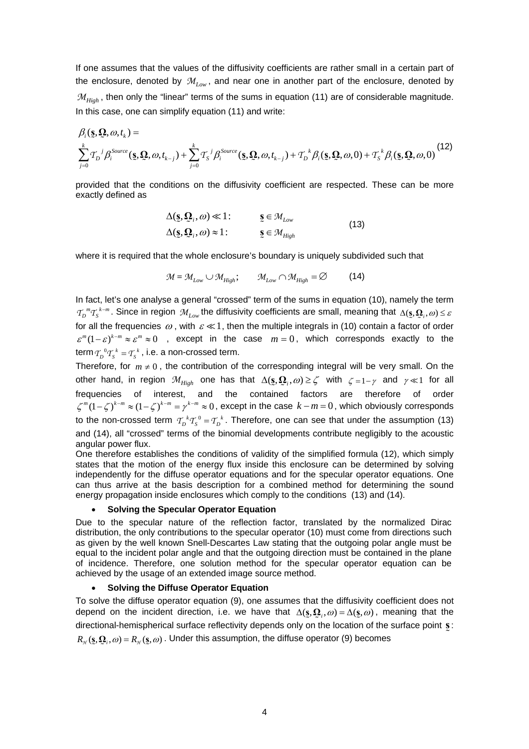If one assumes that the values of the diffusivity coefficients are rather small in a certain part of the enclosure, denoted by  $\mathcal{M}_{I_{\text{row}}}$ , and near one in another part of the enclosure, denoted by  $M_{High}$ , then only the "linear" terms of the sums in equation (11) are of considerable magnitude. In this case, one can simplify equation (11) and write:

$$
\beta_i(\mathbf{s}, \mathbf{\Omega}, \omega, t_k) = \sum_{j=0}^k T_D{}^j \beta_i^{Source}(\mathbf{s}, \mathbf{\Omega}, \omega, t_{k-j}) + \sum_{j=0}^k T_S{}^j \beta_i^{Source}(\mathbf{s}, \mathbf{\Omega}, \omega, t_{k-j}) + T_D{}^k \beta_i(\mathbf{s}, \mathbf{\Omega}, \omega, 0) + T_S{}^k \beta_i(\mathbf{s}, \mathbf{\Omega}, \omega, 0)
$$
\n(12)

provided that the conditions on the diffusivity coefficient are respected. These can be more exactly defined as

$$
\Delta(\underline{\mathbf{s}}, \underline{\mathbf{Q}}_i, \omega) \ll 1: \qquad \underline{\mathbf{s}} \in \mathcal{M}_{Low} \n\Delta(\underline{\mathbf{s}}, \underline{\mathbf{Q}}_i, \omega) \approx 1: \qquad \underline{\mathbf{s}} \in \mathcal{M}_{High}
$$
\n(13)

where it is required that the whole enclosure's boundary is uniquely subdivided such that

$$
\mathcal{M} = \mathcal{M}_{Low} \cup \mathcal{M}_{High}; \qquad \mathcal{M}_{Low} \cap \mathcal{M}_{High} = \varnothing \tag{14}
$$

 $T_p^m T_s^{k-m}$ . Since in region  $\mathcal{M}_{low}$  the diffusivity coefficients are small, meaning that  $\Delta(s, \Omega_i, \omega) \leq \varepsilon$ In fact, let's one analyse a general "crossed" term of the sums in equation (10), namely the term for all the frequencies  $\omega$ , with  $\varepsilon \ll 1$ , then the multiple integrals in (10) contain a factor of order  $\varepsilon^{m}(1-\varepsilon)^{k-m} \approx \varepsilon^{m} \approx 0$ , except in the case  $m=0$ , which corresponds exactly to the  $\text{term } T_p^0 T_s^k = T_s^k$ , i.e. a non-crossed term.

Therefore, for  $m \neq 0$ , the contribution of the corresponding integral will be very small. On the other hand, in region  $\mathcal{M}_{High}$  one has that  $\Delta(\mathbf{s}, \mathbf{\Omega}_i, \omega) \geq \zeta$  with  $\zeta = 1 - \gamma$  and  $\gamma \ll 1$  for all frequencies of interest, and the contained factors are therefore of order  $\zeta^{m}(1-\zeta)^{k-m} \approx (1-\zeta)^{k-m} = \gamma^{k-m} \approx 0$ , except in the case  $k-m=0$ , which obviously corresponds to the non-crossed term  $T_b^k T_s^0 = T_b^k$ . Therefore, one can see that under the assumption (13) and (14), all "crossed" terms of the binomial developments contribute negligibly to the acoustic angular power flux.

One therefore establishes the conditions of validity of the simplified formula (12), which simply states that the motion of the energy flux inside this enclosure can be determined by solving independently for the diffuse operator equations and for the specular operator equations. One can thus arrive at the basis description for a combined method for determining the sound energy propagation inside enclosures which comply to the conditions (13) and (14).

#### • **Solving the Specular Operator Equation**

Due to the specular nature of the reflection factor, translated by the normalized Dirac distribution, the only contributions to the specular operator (10) must come from directions such as given by the well known Snell-Descartes Law stating that the outgoing polar angle must be equal to the incident polar angle and that the outgoing direction must be contained in the plane of incidence. Therefore, one solution method for the specular operator equation can be achieved by the usage of an extended image source method.

#### • **Solving the Diffuse Operator Equation**

To solve the diffuse operator equation (9), one assumes that the diffusivity coefficient does not depend on the incident direction, i.e. we have that  $\Delta(s, \Omega_i, \omega) = \Delta(s, \omega)$ , meaning that the directional-hemispherical surface reflectivity depends only on the location of the surface point **s**:  $R_{\pi}({\bf s}, {\bf Q}_i, \omega) = R_{\pi}({\bf s}, \omega)$ . Under this assumption, the diffuse operator (9) becomes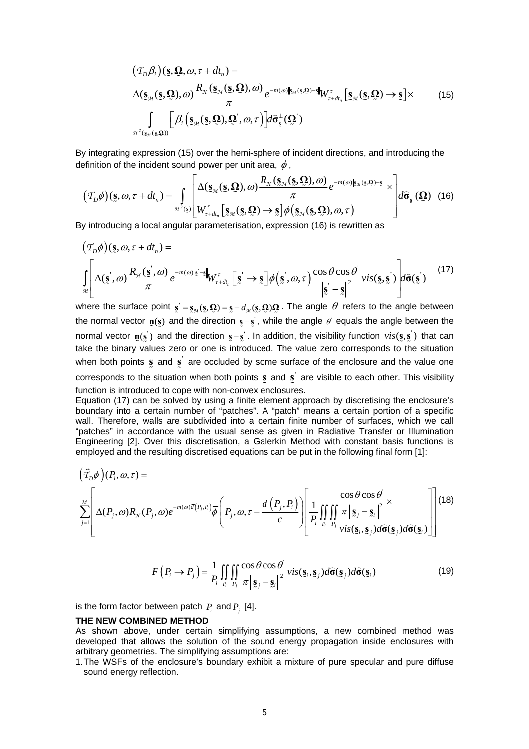$$
(\mathcal{T}_D \beta_i)(\mathbf{\underline{s}}, \mathbf{\underline{Q}}, \omega, \tau + dt_n) =
$$
  

$$
\Delta(\mathbf{\underline{s}}_{\mathcal{M}}(\mathbf{\underline{s}}, \mathbf{\underline{Q}}), \omega) \frac{R_{\mathcal{H}}(\mathbf{\underline{s}}_{\mathcal{M}}(\mathbf{\underline{s}}, \mathbf{\underline{Q}}), \omega)}{\pi} e^{-m(\omega)\|\mathbf{\underline{s}}_{\mathcal{M}}(\mathbf{\underline{s}}, \mathbf{\underline{Q}}) - \mathbf{\underline{s}}\|} W_{\tau + dt_n}^{\tau} [\mathbf{\underline{s}}_{\mathcal{M}}(\mathbf{\underline{s}}, \mathbf{\underline{Q}}) \rightarrow \mathbf{\underline{s}}] \times
$$
 (15)  

$$
\int_{\mathcal{H}^2(\mathbf{\underline{s}}_{\mathcal{M}}(\mathbf{\underline{s}}, \mathbf{\underline{Q}}))} \left[ \beta_i \left( \mathbf{\underline{s}}_{\mathcal{M}}(\mathbf{\underline{s}}, \mathbf{\underline{Q}}), \mathbf{\underline{Q}}^{\dagger}, \omega, \tau \right) \right] d\hat{\sigma}_{\mathbf{\underline{s}}}^{\perp}(\mathbf{\underline{Q}}^{\perp})
$$

By integrating expression (15) over the hemi-sphere of incident directions, and introducing the definition of the incident sound power per unit area,  $\phi$ ,

$$
(\mathcal{T}_D \phi)(\mathbf{s}, \omega, \tau + dt_n) = \int_{\mathcal{H}^2(\mathbf{s})} \left[ \Delta(\mathbf{s}_{\mathcal{M}}(\mathbf{s}, \mathbf{\Omega}), \omega) \frac{R_{\mathcal{H}}(\mathbf{s}_{\mathcal{M}}(\mathbf{s}, \mathbf{\Omega}), \omega)}{\pi} e^{-m(\omega)\|\mathbf{s}_{\mathcal{M}}(\mathbf{s}, \mathbf{\Omega}) - \mathbf{s}\|} \times \right] d\hat{\sigma}_{\mathbf{s}}^{\perp}(\mathbf{\Omega}) \quad (16)
$$
  
By introducing a local angular parameterisation, expression (16) is rewritten as

$$
(\mathcal{T}_D \phi)(\mathbf{s}, \omega, \tau + dt_n) =
$$
\n
$$
\int_{\mathcal{M}} \left[ \Delta(\mathbf{s}, \omega) \frac{R_{\mathcal{H}}(\mathbf{s}, \omega)}{\pi} e^{-m(\omega)\|\mathbf{s} - \mathbf{s}\|} W_{\tau + dt_n}^{\tau} \left[ \mathbf{s} \right] \to \mathbf{s} \right] \phi(\mathbf{s}, \omega, \tau) \frac{\cos \theta \cos \theta}{\|\mathbf{s} - \mathbf{s}\|^2} \text{vis}(\mathbf{s}, \mathbf{s}) \left| d\hat{\sigma}(\mathbf{s}) \right|
$$
\n(17)

where the surface point  $\mathbf{s} = \mathbf{s}_{\mathcal{M}}(\mathbf{s}, \mathbf{\Omega}) = \mathbf{s} + d_{\mathcal{M}}(\mathbf{s}, \mathbf{\Omega})\mathbf{\Omega}$ . The angle  $\theta$  refers to the angle between the normal vector  $\mathbf{n}(s)$  and the direction  $s - s$ , while the angle  $\theta$  equals the angle between the normal vector  $\mathbf{p}(\mathbf{s}')$  and the direction  $\mathbf{s} - \mathbf{s}'$ . In addition, the visibility function  $vis(\mathbf{s}, \mathbf{s}')$  that can <br>take the binary values zero or one is introduced. The value zero corresponds to the situation take the binary values zero or one is introduced. The value zero corresponds to the situation when both points s and s are occluded by some surface of the enclosure and the value one  $\tilde{z}$ 

corresponds to the situation when both points  $\bf{s}$  and  $\bf{s}'$  are visible to each other. This visibility function is introduced to cone with pon-convex enclosures function is introduced to cope with non-convex enclosures.

Equation (17) can be solved by using a finite element approach by discretising the enclosure's boundary into a certain number of "patches". A "patch" means a certain portion of a specific wall. Therefore, walls are subdivided into a certain finite number of surfaces, which we call "patches" in accordance with the usual sense as given in Radiative Transfer or Illumination Engineering [2]. Over this discretisation, a Galerkin Method with constant basis functions is employed and the resulting discretised equations can be put in the following final form [1]:

$$
\left(\vec{T}_{D}\overline{\phi}\right)(P_{i},\omega,\tau) = \sum_{j=1}^{M} \left[ \Delta(P_{j},\omega)R_{\mathcal{H}}(P_{j},\omega)e^{-m(\omega)\overline{d}(P_{j},P_{i})}\overline{\phi}\left(P_{j},\omega,\tau-\frac{\overline{d}(P_{j},P_{i})}{c}\right)\right] \frac{1}{P_{i}}\iiint_{P_{i}}\frac{\cos\theta\cos\theta}{\pi\left\|\mathbf{S}_{j}-\mathbf{S}_{i}\right\|^{2}} \times \text{vis}(\mathbf{S}_{i},\mathbf{S}_{j})d\widehat{\sigma}(\mathbf{S}_{j})\right] (18)
$$

$$
F(P_i \to P_j) = \frac{1}{P_i} \iint_{P_i} \iint_{P_j} \frac{\cos \theta \cos \theta}{\pi \left\| \mathbf{s}_j - \mathbf{s}_i \right\|^2} \text{vis}(\mathbf{s}_i, \mathbf{s}_j) d\hat{\sigma}(\mathbf{s}_j) d\hat{\sigma}(\mathbf{s}_i)
$$
(19)

is the form factor between patch  $P_i$  and  $P_j$  [4].

#### **THE NEW COMBINED METHOD**

As shown above, under certain simplifying assumptions, a new combined method was developed that allows the solution of the sound energy propagation inside enclosures with arbitrary geometries. The simplifying assumptions are:

1. The WSFs of the enclosure's boundary exhibit a mixture of pure specular and pure diffuse sound energy reflection.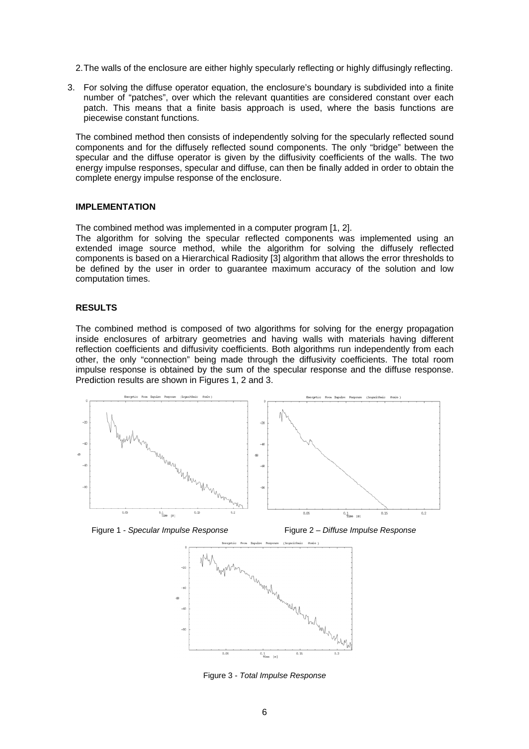- 2. The walls of the enclosure are either highly specularly reflecting or highly diffusingly reflecting.
- 3. For solving the diffuse operator equation, the enclosure's boundary is subdivided into a finite number of "patches", over which the relevant quantities are considered constant over each patch. This means that a finite basis approach is used, where the basis functions are piecewise constant functions.

The combined method then consists of independently solving for the specularly reflected sound components and for the diffusely reflected sound components. The only "bridge" between the specular and the diffuse operator is given by the diffusivity coefficients of the walls. The two energy impulse responses, specular and diffuse, can then be finally added in order to obtain the complete energy impulse response of the enclosure.

#### **IMPLEMENTATION**

The combined method was implemented in a computer program [1, 2].

The algorithm for solving the specular reflected components was implemented using an extended image source method, while the algorithm for solving the diffusely reflected components is based on a Hierarchical Radiosity [3] algorithm that allows the error thresholds to be defined by the user in order to guarantee maximum accuracy of the solution and low computation times.

## **RESULTS**

The combined method is composed of two algorithms for solving for the energy propagation inside enclosures of arbitrary geometries and having walls with materials having different reflection coefficients and diffusivity coefficients. Both algorithms run independently from each other, the only "connection" being made through the diffusivity coefficients. The total room impulse response is obtained by the sum of the specular response and the diffuse response. Prediction results are shown in Figures 1, 2 and 3.



Figure 1 - *Specular Impulse Response* Figure 2 – *Diffuse Impulse Response*



Figure 3 - *Total Impulse Response*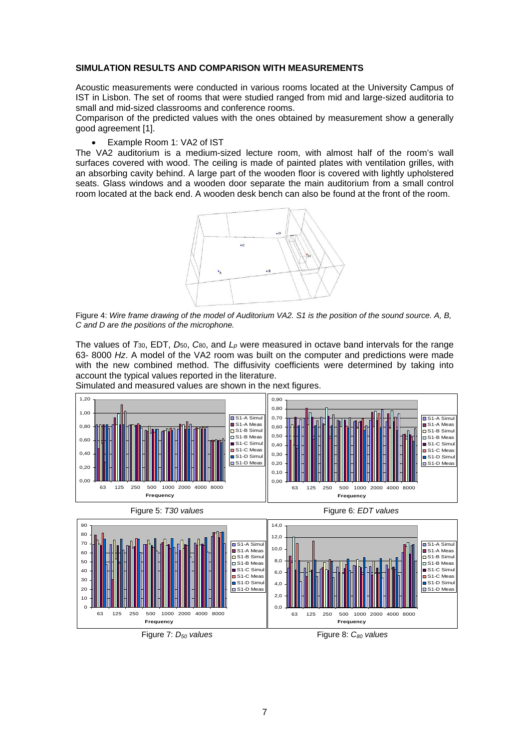## **SIMULATION RESULTS AND COMPARISON WITH MEASUREMENTS**

Acoustic measurements were conducted in various rooms located at the University Campus of IST in Lisbon. The set of rooms that were studied ranged from mid and large-sized auditoria to small and mid-sized classrooms and conference rooms.

Comparison of the predicted values with the ones obtained by measurement show a generally good agreement [1].

• Example Room 1: VA2 of IST

The VA2 auditorium is a medium-sized lecture room, with almost half of the room's wall surfaces covered with wood. The ceiling is made of painted plates with ventilation grilles, with an absorbing cavity behind. A large part of the wooden floor is covered with lightly upholstered seats. Glass windows and a wooden door separate the main auditorium from a small control room located at the back end. A wooden desk bench can also be found at the front of the room.



Figure 4: *Wire frame drawing of the model of Auditorium VA2. S1 is the position of the sound source. A, B, C and D are the positions of the microphone.* 

The values of *T*30, EDT, *D*50, *C*80, and *Lp* were measured in octave band intervals for the range 63- 8000 *Hz*. A model of the VA2 room was built on the computer and predictions were made with the new combined method. The diffusivity coefficients were determined by taking into account the typical values reported in the literature.



Simulated and measured values are shown in the n ext figures.



Figure 7: D<sub>50</sub> values